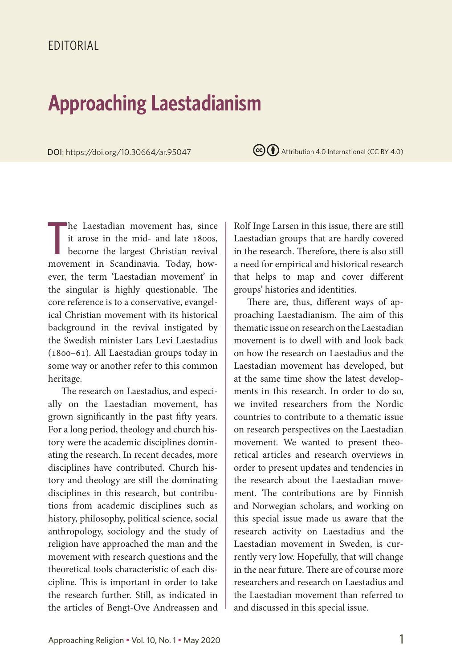## **Approaching Laestadianism**

**DOI:** https://doi.org/10.30664/ar.95047 **CC**  $\bullet$  Attribution 4.0 International (CC BY 4.0)

T he Laestadian movement has, since it arose in the mid- and late 1800s, become the largest Christian revival movement in Scandinavia. Today, however, the term 'Laestadian movement' in the singular is highly questionable. The core reference is to a conservative, evangelical Christian movement with its historical background in the revival instigated by the Swedish minister Lars Levi Laestadius (1800–61). All Laestadian groups today in some way or another refer to this common heritage.

The research on Laestadius, and especially on the Laestadian movement, has grown significantly in the past fifty years. For a long period, theology and church history were the academic disciplines dominating the research. In recent decades, more disciplines have contributed. Church history and theology are still the dominating disciplines in this research, but contributions from academic disciplines such as history, philosophy, political science, social anthropology, sociology and the study of religion have approached the man and the movement with research questions and the theoretical tools characteristic of each discipline. This is important in order to take the research further. Still, as indicated in the articles of Bengt-Ove Andreassen and Rolf Inge Larsen in this issue, there are still Laestadian groups that are hardly covered in the research. Therefore, there is also still a need for empirical and historical research that helps to map and cover different groups' histories and identities.

There are, thus, different ways of approaching Laestadianism. The aim of this thematic issue on research on the Laestadian movement is to dwell with and look back on how the research on Laestadius and the Laestadian movement has developed, but at the same time show the latest developments in this research. In order to do so, we invited researchers from the Nordic countries to contribute to a thematic issue on research perspectives on the Laestadian movement. We wanted to present theoretical articles and research overviews in order to present updates and tendencies in the research about the Laestadian movement. The contributions are by Finnish and Norwegian scholars, and working on this special issue made us aware that the research activity on Laestadius and the Laestadian movement in Sweden, is currently very low. Hopefully, that will change in the near future. There are of course more researchers and research on Laestadius and the Laestadian movement than referred to and discussed in this special issue.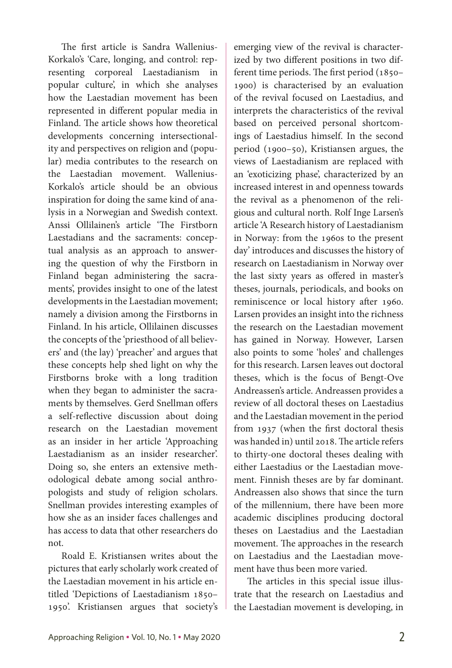The first article is Sandra Wallenius-Korkalo's 'Care, longing, and control: representing corporeal Laestadianism in popular culture', in which she analyses how the Laestadian movement has been represented in different popular media in Finland. The article shows how theoretical developments concerning intersectionality and perspectives on religion and (popular) media contributes to the research on the Laestadian movement. Wallenius-Korkalo's article should be an obvious inspiration for doing the same kind of analysis in a Norwegian and Swedish context. Anssi Ollilainen's article 'The Firstborn Laestadians and the sacraments: conceptual analysis as an approach to answering the question of why the Firstborn in Finland began administering the sacraments', provides insight to one of the latest developments in the Laestadian movement; namely a division among the Firstborns in Finland. In his article, Ollilainen discusses the concepts of the 'priesthood of all believers' and (the lay) 'preacher' and argues that these concepts help shed light on why the Firstborns broke with a long tradition when they began to administer the sacraments by themselves. Gerd Snellman offers a self-reflective discussion about doing research on the Laestadian movement as an insider in her article 'Approaching Laestadianism as an insider researcher'. Doing so, she enters an extensive methodological debate among social anthropologists and study of religion scholars. Snellman provides interesting examples of how she as an insider faces challenges and has access to data that other researchers do not.

Roald E. Kristiansen writes about the pictures that early scholarly work created of the Laestadian movement in his article entitled 'Depictions of Laestadianism 1850– 1950'. Kristiansen argues that society's

emerging view of the revival is characterized by two different positions in two different time periods. The first period (1850– 1900) is characterised by an evaluation of the revival focused on Laestadius, and interprets the characteristics of the revival based on perceived personal shortcomings of Laestadius himself. In the second period (1900–50), Kristiansen argues, the views of Laestadianism are replaced with an 'exoticizing phase', characterized by an increased interest in and openness towards the revival as a phenomenon of the religious and cultural north. Rolf Inge Larsen's article 'A Research history of Laestadianism in Norway: from the 1960s to the present day' introduces and discusses the history of research on Laestadianism in Norway over the last sixty years as offered in master's theses, journals, periodicals, and books on reminiscence or local history after 1960. Larsen provides an insight into the richness the research on the Laestadian movement has gained in Norway. However, Larsen also points to some 'holes' and challenges for this research. Larsen leaves out doctoral theses, which is the focus of Bengt-Ove Andreassen's article. Andreassen provides a review of all doctoral theses on Laestadius and the Laestadian movement in the period from 1937 (when the first doctoral thesis was handed in) until 2018. The article refers to thirty-one doctoral theses dealing with either Laestadius or the Laestadian movement. Finnish theses are by far dominant. Andreassen also shows that since the turn of the millennium, there have been more academic disciplines producing doctoral theses on Laestadius and the Laestadian movement. The approaches in the research on Laestadius and the Laestadian movement have thus been more varied.

The articles in this special issue illustrate that the research on Laestadius and the Laestadian movement is developing, in